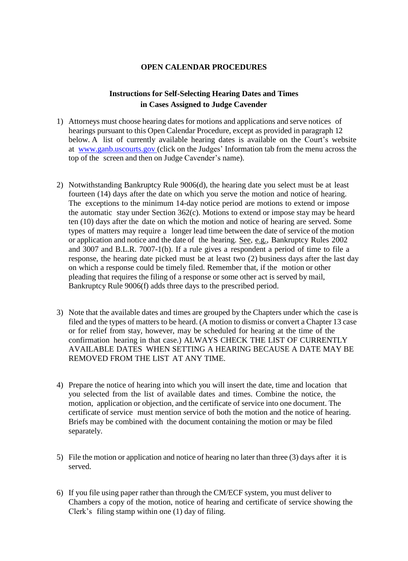## **OPEN CALENDAR PROCEDURES**

## **Instructions for Self-Selecting Hearing Dates and Times in Cases Assigned to Judge Cavender**

- 1) Attorneys must choose hearing dates for motions and applications and serve notices of hearings pursuant to this Open Calendar Procedure, except as provided in paragraph 12 below. A list of currently available hearing dates is available on the Court's website at [www.ganb.uscourts.gov](http://www.ganb.uscourts.gov/) (click on the Judges' Information tab from the menu across the top of the screen and then on Judge Cavender's name).
- 2) Notwithstanding Bankruptcy Rule 9006(d), the hearing date you select must be at least fourteen (14) days after the date on which you serve the motion and notice of hearing. The exceptions to the minimum 14-day notice period are motions to extend or impose the automatic stay under Section 362(c). Motions to extend or impose stay may be heard ten (10) days after the date on which the motion and notice of hearing are served. Some types of matters may require a longer lead time between the date of service of the motion or application and notice and the date of the hearing. See, e.g., Bankruptcy Rules 2002 and 3007 and B.L.R. 7007-1(b). If a rule gives a respondent a period of time to file a response, the hearing date picked must be at least two (2) business days after the last day on which a response could be timely filed. Remember that, if the motion or other pleading that requires the filing of a response or some other act is served by mail, Bankruptcy Rule 9006(f) adds three days to the prescribed period.
- 3) Note that the available dates and times are grouped by the Chapters under which the case is filed and the types of matters to be heard. (A motion to dismiss or convert a Chapter 13 case or for relief from stay, however, may be scheduled for hearing at the time of the confirmation hearing in that case.) ALWAYS CHECK THE LIST OF CURRENTLY AVAILABLE DATES WHEN SETTING A HEARING BECAUSE A DATE MAY BE REMOVED FROM THE LIST AT ANY TIME.
- 4) Prepare the notice of hearing into which you will insert the date, time and location that you selected from the list of available dates and times. Combine the notice, the motion, application or objection, and the certificate of service into one document. The certificate of service must mention service of both the motion and the notice of hearing. Briefs may be combined with the document containing the motion or may be filed separately.
- 5) File the motion or application and notice of hearing no later than three (3) days after it is served.
- 6) If you file using paper rather than through the CM/ECF system, you must deliver to Chambers a copy of the motion, notice of hearing and certificate of service showing the Clerk's filing stamp within one (1) day of filing.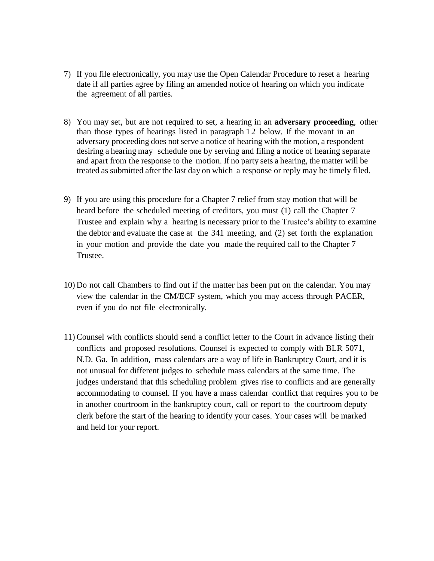- 7) If you file electronically, you may use the Open Calendar Procedure to reset a hearing date if all parties agree by filing an amended notice of hearing on which you indicate the agreement of all parties.
- 8) You may set, but are not required to set, a hearing in an **adversary proceeding**, other than those types of hearings listed in paragraph 1 2 below. If the movant in an adversary proceeding does not serve a notice of hearing with the motion, a respondent desiring a hearing may schedule one by serving and filing a notice of hearing separate and apart from the response to the motion. If no party sets a hearing, the matter will be treated as submitted after the last day on which a response or reply may be timely filed.
- 9) If you are using this procedure for a Chapter 7 relief from stay motion that will be heard before the scheduled meeting of creditors, you must (1) call the Chapter 7 Trustee and explain why a hearing is necessary prior to the Trustee's ability to examine the debtor and evaluate the case at the 341 meeting, and (2) set forth the explanation in your motion and provide the date you made the required call to the Chapter 7 Trustee.
- 10) Do not call Chambers to find out if the matter has been put on the calendar. You may view the calendar in the CM/ECF system, which you may access through PACER, even if you do not file electronically.
- 11)Counsel with conflicts should send a conflict letter to the Court in advance listing their conflicts and proposed resolutions. Counsel is expected to comply with BLR 5071, N.D. Ga. In addition, mass calendars are a way of life in Bankruptcy Court, and it is not unusual for different judges to schedule mass calendars at the same time. The judges understand that this scheduling problem gives rise to conflicts and are generally accommodating to counsel. If you have a mass calendar conflict that requires you to be in another courtroom in the bankruptcy court, call or report to the courtroom deputy clerk before the start of the hearing to identify your cases. Your cases will be marked and held for your report.